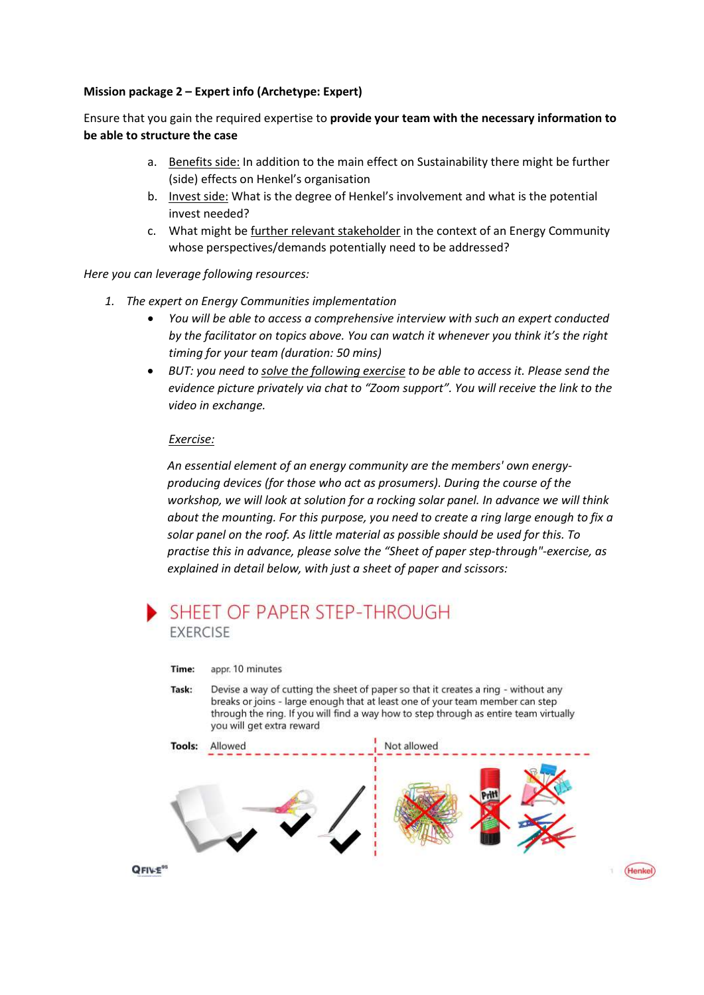## Mission package 2 – Expert info (Archetype: Expert)

Ensure that you gain the required expertise to provide your team with the necessary information to be able to structure the case

- a. Benefits side: In addition to the main effect on Sustainability there might be further (side) effects on Henkel's organisation
- b. Invest side: What is the degree of Henkel's involvement and what is the potential invest needed?
- c. What might be further relevant stakeholder in the context of an Energy Community whose perspectives/demands potentially need to be addressed?

Here you can leverage following resources:

- 1. The expert on Energy Communities implementation
	- You will be able to access a comprehensive interview with such an expert conducted by the facilitator on topics above. You can watch it whenever you think it's the right timing for your team (duration: 50 mins)
	- BUT: you need to solve the following exercise to be able to access it. Please send the evidence picture privately via chat to "Zoom support". You will receive the link to the video in exchange.

## Exercise:

An essential element of an energy community are the members' own energyproducing devices (for those who act as prosumers). During the course of the workshop, we will look at solution for a rocking solar panel. In advance we will think about the mounting. For this purpose, you need to create a ring large enough to fix a solar panel on the roof. As little material as possible should be used for this. To practise this in advance, please solve the "Sheet of paper step-through"-exercise, as explained in detail below, with just a sheet of paper and scissors:



appr. 10 minutes Time:

Task: Devise a way of cutting the sheet of paper so that it creates a ring - without any breaks or joins - large enough that at least one of your team member can step through the ring. If you will find a way how to step through as entire team virtually you will get extra reward



(Henke